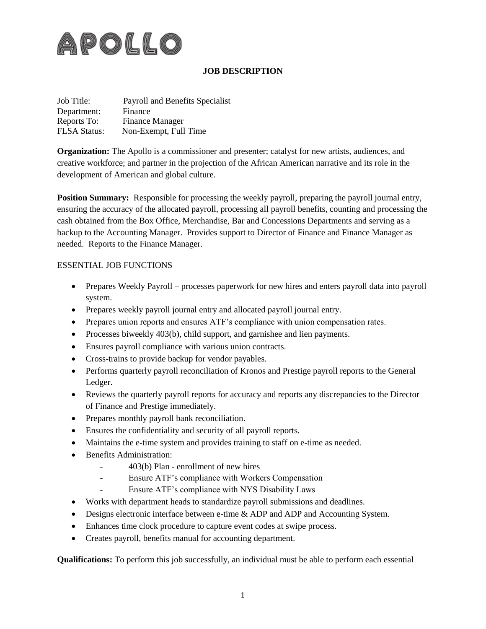

## **JOB DESCRIPTION**

| Job Title:          | Payroll and Benefits Specialist |
|---------------------|---------------------------------|
| Department:         | Finance                         |
| Reports To:         | <b>Finance Manager</b>          |
| <b>FLSA Status:</b> | Non-Exempt, Full Time           |

**Organization:** The Apollo is a commissioner and presenter; catalyst for new artists, audiences, and creative workforce; and partner in the projection of the African American narrative and its role in the development of American and global culture.

**Position Summary:** Responsible for processing the weekly payroll, preparing the payroll journal entry, ensuring the accuracy of the allocated payroll, processing all payroll benefits, counting and processing the cash obtained from the Box Office, Merchandise, Bar and Concessions Departments and serving as a backup to the Accounting Manager. Provides support to Director of Finance and Finance Manager as needed. Reports to the Finance Manager.

## ESSENTIAL JOB FUNCTIONS

- Prepares Weekly Payroll processes paperwork for new hires and enters payroll data into payroll system.
- Prepares weekly payroll journal entry and allocated payroll journal entry.
- Prepares union reports and ensures ATF's compliance with union compensation rates.
- Processes biweekly 403(b), child support, and garnishee and lien payments.
- Ensures payroll compliance with various union contracts.
- Cross-trains to provide backup for vendor payables.
- Performs quarterly payroll reconciliation of Kronos and Prestige payroll reports to the General Ledger.
- Reviews the quarterly payroll reports for accuracy and reports any discrepancies to the Director of Finance and Prestige immediately.
- Prepares monthly payroll bank reconciliation.
- Ensures the confidentiality and security of all payroll reports.
- Maintains the e-time system and provides training to staff on e-time as needed.
- Benefits Administration:
	- 403(b) Plan enrollment of new hires
	- Ensure ATF's compliance with Workers Compensation
	- Ensure ATF's compliance with NYS Disability Laws
- Works with department heads to standardize payroll submissions and deadlines.
- Designs electronic interface between e-time & ADP and ADP and Accounting System.
- Enhances time clock procedure to capture event codes at swipe process.
- Creates payroll, benefits manual for accounting department.

**Qualifications:** To perform this job successfully, an individual must be able to perform each essential